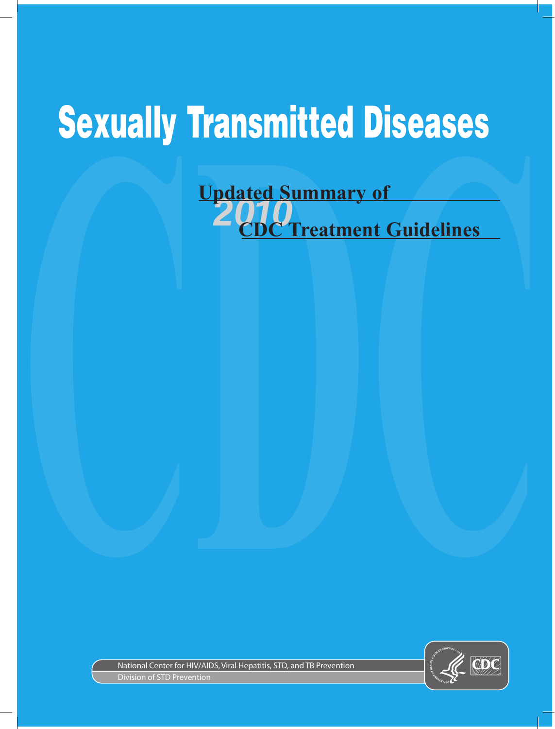## Sexually Transmitted Diseases

## **CDC** Treatment Guidelines **Updated Summary of C Treatment Guidelines**



National Center for HIV/AIDS, Viral Hepatitis, STD, and TB Prevention Division of STD Prevention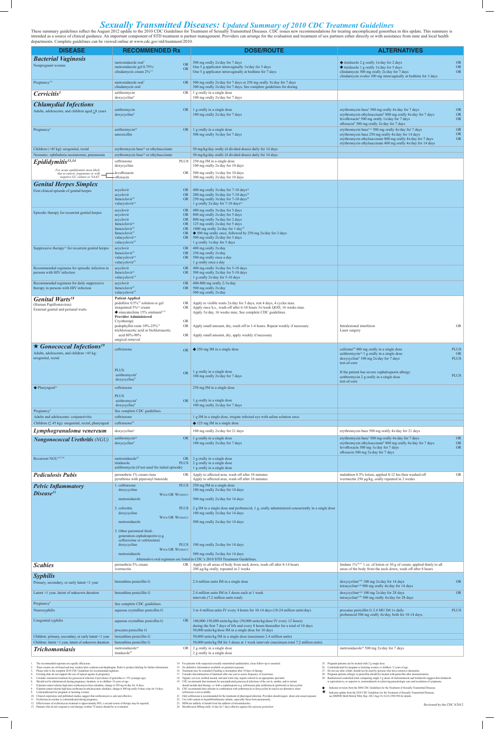## **Sexually Transmitted Diseases:** Updated Summary of 2010 CDC Treatment Guidelines<br>These summary guidelines reflect the August 2012 update to the 2010 CDC Guidelines for Treatment of Sexually Transmitted Diseases. CDC issue

intended as a source of clinical guidance. An important component of STD treatment is partner management. Providers can arrange for the evaluation and treatment of sex partners either directly or with assistance from state departments. Complete guidelines can be viewed online at www.cdc.gov/std/treatment/2010.

| <b>DISEASE</b>                                                                                         | <b>RECOMMENDED Rx</b>                                                                                      | <b>DOSE/ROUTE</b>                                                                                                                             | <b>ALTERNATIVES</b>                                                                                                                                     |                          |
|--------------------------------------------------------------------------------------------------------|------------------------------------------------------------------------------------------------------------|-----------------------------------------------------------------------------------------------------------------------------------------------|---------------------------------------------------------------------------------------------------------------------------------------------------------|--------------------------|
| <b>Bacterial Vaginosis</b>                                                                             |                                                                                                            |                                                                                                                                               |                                                                                                                                                         |                          |
| Nonpregnant women                                                                                      | metronidazole oral<br>OR<br>metronidazole gel 0.75% <sup>1</sup><br>OR                                     | 500 mg orally 2x/day for 7 days<br>One 5 g applicator intravaginally 1x/day for 5 days                                                        | $\blacklozenge$ tinidazole 2 g orally 1x/day for 2 days<br>$\blacklozenge$ tinidazole 1 g orally 1x/day for 5 days                                      | <b>OR</b><br><b>OR</b>   |
|                                                                                                        | clindamycin cream $2\%^{1,2}$                                                                              | One 5 g applicator intravaginally at bedtime for 7 days                                                                                       | clindamycin 300 mg orally 2x/day for 7 days<br>clindamycin ovules 100 mg intravaginally at bedtime for 3 days                                           | <b>OR</b>                |
| Pregnancy <sup>3,4</sup>                                                                               | metronidazole oral <sup>1</sup>                                                                            | OR 500 mg orally 2x/day for 7 days or 250 mg orally 3x/day for 7 days                                                                         |                                                                                                                                                         |                          |
|                                                                                                        | clindamycin oral                                                                                           | 300 mg orally 2x/day for 7 days; See complete guidelines for dosing                                                                           |                                                                                                                                                         |                          |
| Cervicitis <sup>5</sup>                                                                                | OR<br>azithromycin<br>doxycycline <sup>6</sup>                                                             | 1 g orally in a single dose<br>100 mg orally 2x/day for 7 days                                                                                |                                                                                                                                                         |                          |
| <b>Chlamydial Infections</b>                                                                           |                                                                                                            |                                                                                                                                               |                                                                                                                                                         |                          |
| Adults, adolescents, and children aged $\geq$ 8 years                                                  | azithromycin<br>doxycycline <sup>6</sup>                                                                   | OR $\vert$ 1 g orally in a single dose<br>100 mg orally 2x/day for 7 days                                                                     | erythromycin base <sup>7</sup> 500 mg orally 4x/day for 7 days<br>erythromycin ethylsuccinate <sup>8</sup> 800 mg orally 4x/day for 7 days              | <b>OR</b><br><b>OR</b>   |
|                                                                                                        |                                                                                                            |                                                                                                                                               | levofloxacin <sup>9</sup> 500 mg orally 1x/day for 7 days                                                                                               | <b>OR</b>                |
| Pregnancy <sup>3</sup>                                                                                 | azithromycin <sup>10</sup>                                                                                 | OR $\vert$ 1 g orally in a single dose                                                                                                        | ofloxacin <sup>9</sup> 300 mg orally 2x/day for 7 days<br>erythromycin base <sup>7,11</sup> 500 mg orally $4x/day$ for 7 days                           | <b>OR</b>                |
|                                                                                                        | amoxicillin                                                                                                | 500 mg orally 3x/day for 7 days                                                                                                               | erythromycin base 250 mg orally 4x/day for 14 days                                                                                                      | <b>OR</b>                |
|                                                                                                        |                                                                                                            |                                                                                                                                               | erythromycin ethylsuccinate 800 mg orally 4x/day for 7 days<br>erythromycin ethylsuccinate 400 mg orally 4x/day for 14 days                             | <b>OR</b>                |
| Children (<45 kg): urogenital, rectal                                                                  | erythromycin base <sup>12</sup> or ethylsuccinate                                                          | 50 mg/kg/day orally (4 divided doses) daily for 14 days                                                                                       |                                                                                                                                                         |                          |
| Neonates: ophthalmia neonatorum, pneumonia                                                             | erythromycin base <sup>12</sup> or ethylsuccinate                                                          | 50 mg/kg/day orally (4 divided doses) daily for 14 days<br>250 mg IM in a single dose                                                         |                                                                                                                                                         |                          |
| Epididymitis <sup>13,14</sup>                                                                          | ceftriaxone<br><b>PLUS</b><br>doxycycline                                                                  | 100 mg orally 2x/day for 10 days                                                                                                              |                                                                                                                                                         |                          |
| For acute epididymitis most likely<br>due to enteric organisms or with<br>negative GC culture or NAAT: | levofloxacin<br><b>OR</b>                                                                                  | 500 mg orally 1x/day for 10 days                                                                                                              |                                                                                                                                                         |                          |
| <b>Genital Herpes Simplex</b>                                                                          | ofloxacin                                                                                                  | 300 mg orally 2x/day for 10 days                                                                                                              |                                                                                                                                                         |                          |
| First clinical episode of genital herpes                                                               | acyclovir<br>OR.                                                                                           | 400 mg orally $3x/day$ for 7-10 days <sup>16</sup>                                                                                            |                                                                                                                                                         |                          |
|                                                                                                        | acyclovir<br><b>OR</b><br>famciclovir <sup>15</sup><br>OR                                                  | 200 mg orally $5x/day$ for 7-10 days <sup>16</sup><br>250 mg orally $3x/day$ for 7-10 days <sup>16</sup>                                      |                                                                                                                                                         |                          |
|                                                                                                        | valacyclovir <sup>15</sup>                                                                                 | 1 g orally $2x/day$ for 7-10 days <sup>16</sup>                                                                                               |                                                                                                                                                         |                          |
| Episodic therapy for recurrent genital herpes                                                          | acyclovir<br>OR.<br>acyclovir<br><b>OR</b>                                                                 | 400 mg orally 3x/day for 5 days<br>800 mg orally 2x/day for 5 days                                                                            |                                                                                                                                                         |                          |
|                                                                                                        | acyclovir<br><b>OR</b>                                                                                     | 800 mg orally 3x/day for 2 days                                                                                                               |                                                                                                                                                         |                          |
|                                                                                                        | famciclovir <sup>15</sup><br><b>OR</b><br>famciclovir <sup>15</sup><br><b>OR</b>                           | 125 mg orally 2x/day for 5 days<br>1000 mg orally $2x/day$ for 1 day <sup>16</sup>                                                            |                                                                                                                                                         |                          |
|                                                                                                        | famciclovir <sup>15</sup><br><b>OR</b><br>valacyclovir <sup>15</sup>                                       | $\blacklozenge$ 500 mg orally once, followed by 250 mg 2x/day for 2 days<br>OR 500 mg orally $2x/day$ for 3 days                              |                                                                                                                                                         |                          |
|                                                                                                        | valacyclovir <sup>15</sup>                                                                                 | 1 g orally 1x/day for 5 days                                                                                                                  |                                                                                                                                                         |                          |
| Suppressive therapy <sup>17</sup> for recurrent genital herpes                                         | acyclovir<br>famciclovir <sup>15</sup><br>OR.                                                              | OR $\vert$ 400 mg orally 2x/day<br>$250$ mg orally $2x/day$                                                                                   |                                                                                                                                                         |                          |
|                                                                                                        | valacyclovir <sup>15</sup>                                                                                 | OR 500 mg orally once a day<br>1 g orally once a day                                                                                          |                                                                                                                                                         |                          |
| Recommended regimens for episodic infection in                                                         | valacyclovir <sup>15</sup><br>acyclovir                                                                    | OR $\vert$ 400 mg orally 3x/day for 5-10 days                                                                                                 |                                                                                                                                                         |                          |
| persons with HIV infection                                                                             | famciclovir <sup>15</sup><br>valacyclovir <sup>15</sup>                                                    | OR 500 mg orally $2x/day$ for 5-10 days<br>1 g orally 2x/day for 5-10 days                                                                    |                                                                                                                                                         |                          |
| Recommended regimens for daily suppressive                                                             | acyclovir                                                                                                  | OR $\vert$ 400-800 mg orally 2-3x/day                                                                                                         |                                                                                                                                                         |                          |
| therapy in persons with HIV infection                                                                  | famciclovir <sup>15</sup><br>valacyclovir <sup>15</sup>                                                    | OR 500 mg orally $2x/day$<br>500 mg orally $2x/day$                                                                                           |                                                                                                                                                         |                          |
| <b>Genital Warts<sup>18</sup></b>                                                                      | <b>Patient Applied</b>                                                                                     |                                                                                                                                               |                                                                                                                                                         |                          |
| (Human Papillomavirus)                                                                                 | podofilox 0.5% <sup>15</sup> solution or gel<br><b>OR</b><br>imiquimod 5% <sup>15</sup> cream<br><b>OR</b> | Apply to visible warts 2x/day for 3 days, rest 4 days, 4 cycles max.<br>Apply once h.s., wash off after 6-10 hours 3x/week QOD, 16 weeks max. |                                                                                                                                                         |                          |
| External genital and perianal warts                                                                    | $\blacklozenge$ sinecatechins 15% ointment <sup>2,15</sup><br><b>Provider Administered</b>                 | Apply 3x/day, 16 weeks max; See complete CDC guidelines.                                                                                      |                                                                                                                                                         |                          |
|                                                                                                        | <b>OR</b><br>Cryotherapy                                                                                   |                                                                                                                                               |                                                                                                                                                         |                          |
|                                                                                                        | podophyllin resin 10%-25% <sup>15</sup><br><b>OR</b><br>trichloroacetic acid or bichloroacetic             | Apply small amount, dry, wash off in 1-4 hours. Repeat weekly if necessary                                                                    | Intralesional interferon<br>Laser surgery                                                                                                               | <b>OR</b>                |
|                                                                                                        | acid 80%-90%<br><b>OR</b><br>surgical removal                                                              | Apply small amount, dry, apply weekly if necessary                                                                                            |                                                                                                                                                         |                          |
| $\star$ Gonococcal Infections <sup>19</sup>                                                            |                                                                                                            |                                                                                                                                               |                                                                                                                                                         |                          |
| Adults, adolescents, and children >45 kg:                                                              | ceftriaxone<br>OR.                                                                                         | $\triangle$ 250 mg IM in a single dose                                                                                                        | cefixime <sup>20</sup> 400 mg orally in a single dose<br>azithromycin <sup>10</sup> 1 g orally in a single dose                                         | <b>PLUS</b><br><b>OR</b> |
| urogenital, rectal                                                                                     |                                                                                                            |                                                                                                                                               | doxycycline <sup>6</sup> 100 mg 2x/day for 7 days<br>test-of-cure                                                                                       | <b>PLUS</b>              |
|                                                                                                        | <b>PLUS</b><br>OR                                                                                          | 1 g orally in a single dose                                                                                                                   | If the patient has severe cephalosporin allergy:                                                                                                        |                          |
|                                                                                                        | azithromycin <sup>6</sup><br>doxycycline <sup>9</sup>                                                      | 100 mg orally 2x/day for 7 days                                                                                                               | azithromycin 2 g orally in a single dose                                                                                                                | <b>PLUS</b>              |
| $\blacklozenge$ Pharyngeal <sup>21</sup>                                                               | ceftriaxone                                                                                                | 250 mg IM in a single dose                                                                                                                    | test-of-cure                                                                                                                                            |                          |
|                                                                                                        | <b>PLUS</b>                                                                                                |                                                                                                                                               |                                                                                                                                                         |                          |
|                                                                                                        | azithromycin <sup>6</sup><br><b>OR</b>                                                                     | 1 g orally in a single dose                                                                                                                   |                                                                                                                                                         |                          |
| Pregnancy <sup>3</sup>                                                                                 | doxycycline <sup>9</sup><br>See complete CDC guidelines.                                                   | 100 mg orally 2x/day for 7 days                                                                                                               |                                                                                                                                                         |                          |
| Adults and adolescents: conjunctivitis                                                                 | ceftriaxone                                                                                                | 1 g IM in a single dose, irrigate infected eye with saline solution once                                                                      |                                                                                                                                                         |                          |
| Children $(545 \text{ kg})$ : urogenital, rectal, pharyngeal                                           | ceftriaxone <sup>22</sup>                                                                                  | $\triangle$ 125 mg IM in a single dose                                                                                                        |                                                                                                                                                         |                          |
| Lymphogranuloma venereum                                                                               | doxycycline <sup>6</sup>                                                                                   | 100 mg orally 2x/day for 21 days                                                                                                              | erythromycin base 500 mg orally 4x/day for 21 days                                                                                                      |                          |
| <b>Nongonococcal Urethritis (NGU)</b>                                                                  | azithromycin <sup>10</sup><br>doxycycline <sup>6</sup>                                                     | OR $\vert$ 1 g orally in a single dose<br>100 mg orally 2x/day for 7 days                                                                     | erythromycin base <sup>7</sup> 500 mg orally 4x/day for 7 days<br>erythromycin ethylsuccinate <sup>8</sup> 800 mg orally 4x/day for 7 days              | <b>OR</b><br><b>OR</b>   |
|                                                                                                        |                                                                                                            |                                                                                                                                               | levofloxacin 500 mg 1x/day for 7 days                                                                                                                   | <b>OR</b>                |
| Recurrent NGU <sup>3,23,24</sup>                                                                       | metronidazole <sup>25</sup>                                                                                | OR $\vert$ 2 g orally in a single dose                                                                                                        | ofloxacin 300 mg $2x/day$ for 7 days                                                                                                                    |                          |
|                                                                                                        | tinidazole<br>azithromycin (if not used for initial episode)                                               | PLUS 2 g orally in a single dose<br>1 g orally in a single dose                                                                               |                                                                                                                                                         |                          |
| <b>Pediculosis Pubis</b>                                                                               | permethrin 1% cream rinse<br>OR                                                                            | Apply to affected area, wash off after 10 minutes                                                                                             | malathion 0.5% lotion, applied 8-12 hrs then washed off                                                                                                 | OR                       |
|                                                                                                        | pyrethrins with piperonyl butoxide                                                                         | Apply to affected area, wash off after 10 minutes                                                                                             | ivermectin 250 µg/kg, orally repeated in 2 weeks                                                                                                        |                          |
| <b>Pelvic Inflammatory</b>                                                                             | l. ceftriaxone<br>doxycycline                                                                              | PLUS 250 mg IM in a single dose<br>100 mg orally 2x/day for 14 days                                                                           |                                                                                                                                                         |                          |
| Disease <sup>13</sup>                                                                                  | WITH OR WITHOUT<br>metronidazole                                                                           | 500 mg orally 2x/day for 14 days                                                                                                              |                                                                                                                                                         |                          |
|                                                                                                        | 2. cefoxitin                                                                                               | PLUS 2 g IM in a single dose and probenecid, 1 g, orally administered concurrently in a single dose                                           |                                                                                                                                                         |                          |
|                                                                                                        | doxycycline                                                                                                | 100 mg orally 2x/day for 14 days                                                                                                              |                                                                                                                                                         |                          |
|                                                                                                        | WITH OR WITHOUT<br>metronidazole                                                                           | 500 mg orally 2x/day for 14 days                                                                                                              |                                                                                                                                                         |                          |
|                                                                                                        | 3. Other parenteral third-                                                                                 |                                                                                                                                               |                                                                                                                                                         |                          |
|                                                                                                        | generation cephalosporin (e.g.<br>ceftizoxime or cefotaxime)                                               |                                                                                                                                               |                                                                                                                                                         |                          |
|                                                                                                        | doxycycline<br>PLUS                                                                                        | 100 mg orally 2x/day for 14 days                                                                                                              |                                                                                                                                                         |                          |
|                                                                                                        | WITH OR WITHOUT<br>metronidazole                                                                           | 500 mg orally 2x/day for 14 days                                                                                                              |                                                                                                                                                         |                          |
|                                                                                                        |                                                                                                            | Alternative oral regimens are listed in CDC's 2010 STD Treatment Guidelines.                                                                  |                                                                                                                                                         |                          |
| <b>Scabies</b>                                                                                         | permethrin 5% cream<br>OR.<br>ivermectin                                                                   | Apply to all areas of body from neck down, wash off after 8-14 hours<br>$200 \mu g/kg$ orally, repeated in 2 weeks                            | lindane $1\frac{96^{26,27}}{2}$ 1 oz. of lotion or 30 g of cream, applied thinly to all<br>areas of the body from the neck down, wash off after 8 hours |                          |
| <b>Syphilis</b>                                                                                        |                                                                                                            |                                                                                                                                               |                                                                                                                                                         |                          |
| Primary, secondary, or early latent <1 year                                                            | benzathine penicillin G                                                                                    | 2.4 million units IM in a single dose                                                                                                         | doxycycline <sup>6,28</sup> 100 mg $2x/day$ for 14 days<br>tetracycline <sup>6,28</sup> 500 mg orally $4x/day$ for 14 days                              | <b>OR</b>                |
| Latent >1 year, latent of unknown duration                                                             | benzathine penicillin G                                                                                    | 2.4 million units IM in 3 doses each at 1 week                                                                                                | doxycycline <sup>6,28</sup> 100 mg $2x/day$ for 28 days                                                                                                 | <b>OR</b>                |
| Pregnancy <sup>3</sup>                                                                                 | See complete CDC guidelines.                                                                               | intervals (7.2 million units total)                                                                                                           | tetracycline <sup>6,28</sup> 500 mg orally $4x/day$ for 28 days                                                                                         |                          |
| Neurosyphilis                                                                                          | aqueous crystalline penicillin G                                                                           | 3 to 4 million units IV every 4 hours for 10-14 days (18-24 million units/day)                                                                | procaine penicillin G 2.4 MU IM 1x daily                                                                                                                | <b>PLUS</b>              |
| Congenital syphilis                                                                                    | OR<br>aqueous crystalline penicillin G                                                                     | 100,000-150,000 units/kg/day (50,000 units/kg/dose IV every 12 hours)                                                                         | probenecid 500 mg orally 4x/day, both for 10-14 days.                                                                                                   |                          |
|                                                                                                        |                                                                                                            | during the first 7 days of life and every 8 hours thereafter for a total of 10 days                                                           |                                                                                                                                                         |                          |
| Children: primary, secondary, or early latent <1 year                                                  | procaine penicillin G<br>benzathine penicillin G                                                           | 50,000 units/kg/dose IM in a single dose for 10 days<br>50,000 units/kg IM in a single dose (maximum 2.4 million units)                       |                                                                                                                                                         |                          |
| Children: latent >1 year, latent of unknown duration                                                   | benzathine penicillin G                                                                                    | 50,000 units/kg IM for 3 doses at 1 week intervals (maximum total 7.2 million units)                                                          |                                                                                                                                                         |                          |
| <b>Trichomoniasis</b>                                                                                  | metronidazole <sup>25</sup><br>tinidazole <sup>29</sup>                                                    | OR $\vert$ 2 g orally in a single dose<br>2 g orally in a single dose                                                                         | metronidazole <sup>25</sup> 500 mg 2x/day for 7 days                                                                                                    |                          |

- 1. The recommended regimens are equally efficacious.<br>2. These creams are oil-based and may weaken latex condoms and diaphragms. Refer to product labeling for further information.<br>3. Please refer to the complete 2010 CDC Gu
- 
- 
- 
- 
- 4.<br>
5. Existing data do not support the use of topical agents in pregnancy.<br>
5. Consider concurrent treatment for gonococcal infection if prevalence of gonorrhea is >5% (younger age).<br>
6. Should not be administered during
- 
- 
- 
- 9. Contraindicated for pregnant or lactating women.<br>
10. Clinical experience and published studies suggest that azithromycin is safe and effective.<br>
11. Erythromycin estolate is contraindicated during pregnancy.<br>
12. Effec
- 
- 
- 
- 
- 
- 
- 14<br>
For patients with suspected sexually transmitted epiddymittis, close follow-up is essential.<br>
15. No definitive information available on prenatal exposure.<br>
16. Treatment may be extended if healing is incomplete after
- 
- celtinatone is not available.<br>
21. Only certriaxone is recommended for the treatment of pharyngeal infection. Providers should inquire about oral sexual exposure<br>
22. Use with caution in hyperbilirubinemic infants, especia
- 
- 
- 
- 
- 
- 
- 
- 25. Pregnant patients can be treated with 2 g single dose.<br>26. Contraindicated for pregnant or lackting women, or children <2 years of age.<br>27. Do not use after a bath; should not be used by persons who have extensive derm
- Indicates revision from the 2006 CDC Guidelines for the Treatment of Sexually Transmitted Diseases.
- Indicates update from the 2010 CDC Guidelines for the Treatment of Sexually Transmitted Diseases; Indicates update from the 2010 CDC Guidelines for the Treatment of Sexually Transmitted Diseases; see MMWR Morb Mortal Wkly Rep. 2012 Aug 10; 61(31):590-594 for details.